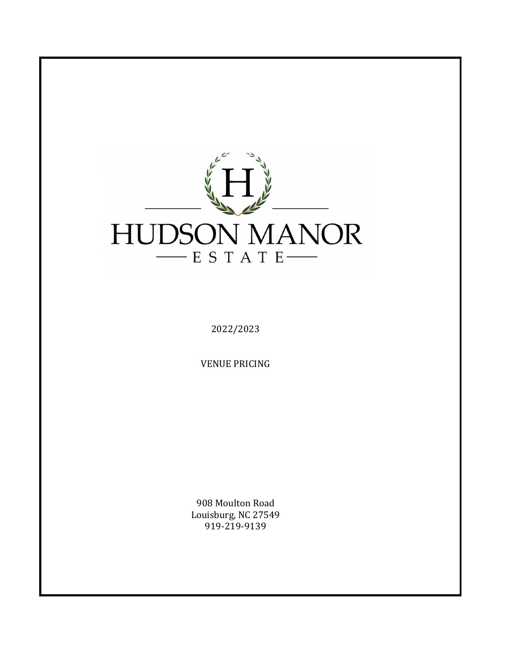

2022/2023

**VENUE PRICING** 

908 Moulton Road Louisburg, NC 27549 919-219-9139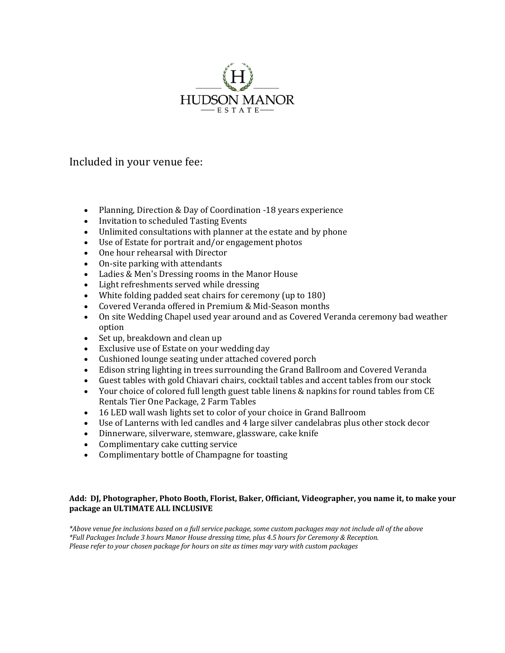

Included in your venue fee:

- Planning, Direction & Day of Coordination -18 years experience
- Invitation to scheduled Tasting Events
- Unlimited consultations with planner at the estate and by phone
- Use of Estate for portrait and/or engagement photos
- One hour rehearsal with Director
- On-site parking with attendants
- Ladies & Men's Dressing rooms in the Manor House
- Light refreshments served while dressing
- White folding padded seat chairs for ceremony (up to 180)
- Covered Veranda offered in Premium & Mid-Season months
- On site Wedding Chapel used year around and as Covered Veranda ceremony bad weather option
- Set up, breakdown and clean up
- Exclusive use of Estate on your wedding day
- Cushioned lounge seating under attached covered porch
- Edison string lighting in trees surrounding the Grand Ballroom and Covered Veranda
- Guest tables with gold Chiavari chairs, cocktail tables and accent tables from our stock
- Your choice of colored full length guest table linens & napkins for round tables from CE Rentals Tier One Package, 2 Farm Tables
- 16 LED wall wash lights set to color of your choice in Grand Ballroom
- Use of Lanterns with led candles and 4 large silver candelabras plus other stock decor
- Dinnerware, silverware, stemware, glassware, cake knife
- Complimentary cake cutting service
- Complimentary bottle of Champagne for toasting

## Add: DJ, Photographer, Photo Booth, Florist, Baker, Officiant, Videographer, you name it, to make your package an ULTIMATE ALL INCLUSIVE

\*Above venue fee inclusions based on a full service package, some custom packages may not include all of the above *\*Full Packages Include 3 hours Manor House dressing time, plus 4.5 hours for Ceremony & Reception. Please refer to your chosen package for hours on site as times may vary with custom packages*